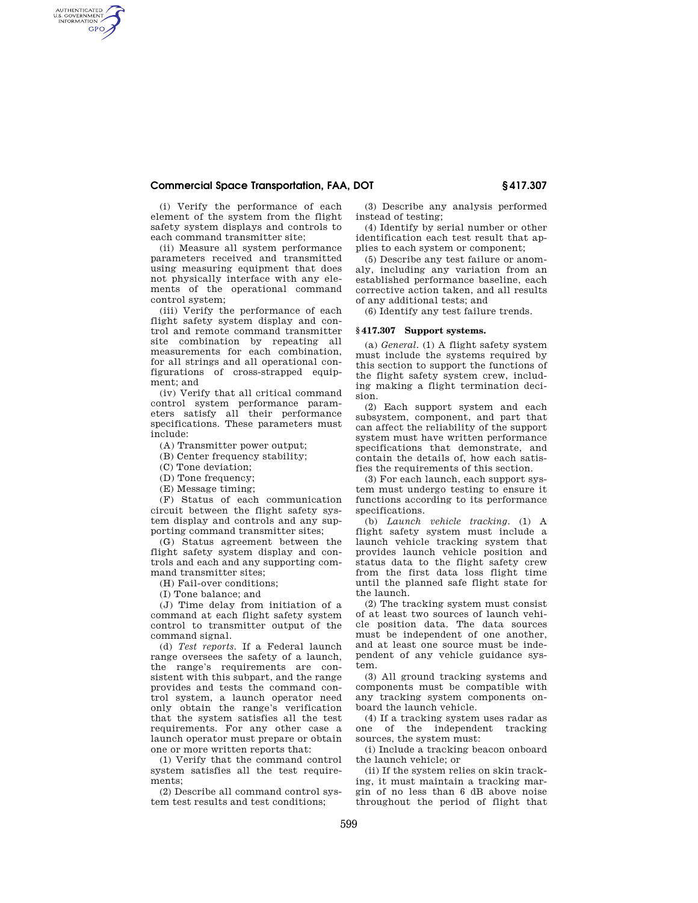## **Commercial Space Transportation, FAA, DOT § 417.307**

(i) Verify the performance of each element of the system from the flight safety system displays and controls to each command transmitter site;

AUTHENTICATED<br>U.S. GOVERNMENT<br>INFORMATION **GPO** 

> (ii) Measure all system performance parameters received and transmitted using measuring equipment that does not physically interface with any elements of the operational command control system;

> (iii) Verify the performance of each flight safety system display and control and remote command transmitter site combination by repeating all measurements for each combination, for all strings and all operational configurations of cross-strapped equipment; and

> (iv) Verify that all critical command control system performance parameters satisfy all their performance specifications. These parameters must include:

(A) Transmitter power output;

(B) Center frequency stability;

(C) Tone deviation;

(D) Tone frequency;

(E) Message timing;

(F) Status of each communication circuit between the flight safety system display and controls and any supporting command transmitter sites;

(G) Status agreement between the flight safety system display and controls and each and any supporting command transmitter sites;

(H) Fail-over conditions;

(I) Tone balance; and

(J) Time delay from initiation of a command at each flight safety system control to transmitter output of the command signal.

(d) *Test reports.* If a Federal launch range oversees the safety of a launch, the range's requirements are consistent with this subpart, and the range provides and tests the command control system, a launch operator need only obtain the range's verification that the system satisfies all the test requirements. For any other case a launch operator must prepare or obtain one or more written reports that:

(1) Verify that the command control system satisfies all the test requirements;

(2) Describe all command control system test results and test conditions;

(3) Describe any analysis performed instead of testing;

(4) Identify by serial number or other identification each test result that applies to each system or component;

(5) Describe any test failure or anomaly, including any variation from an established performance baseline, each corrective action taken, and all results of any additional tests; and

(6) Identify any test failure trends.

### **§ 417.307 Support systems.**

(a) *General.* (1) A flight safety system must include the systems required by this section to support the functions of the flight safety system crew, including making a flight termination decision.

(2) Each support system and each subsystem, component, and part that can affect the reliability of the support system must have written performance specifications that demonstrate, and contain the details of, how each satisfies the requirements of this section.

(3) For each launch, each support system must undergo testing to ensure it functions according to its performance specifications.

(b) *Launch vehicle tracking.* (1) A flight safety system must include a launch vehicle tracking system that provides launch vehicle position and status data to the flight safety crew from the first data loss flight time until the planned safe flight state for the launch.

(2) The tracking system must consist of at least two sources of launch vehicle position data. The data sources must be independent of one another, and at least one source must be independent of any vehicle guidance system.

(3) All ground tracking systems and components must be compatible with any tracking system components onboard the launch vehicle.

(4) If a tracking system uses radar as one of the independent tracking sources, the system must:

(i) Include a tracking beacon onboard the launch vehicle; or

(ii) If the system relies on skin tracking, it must maintain a tracking margin of no less than 6 dB above noise throughout the period of flight that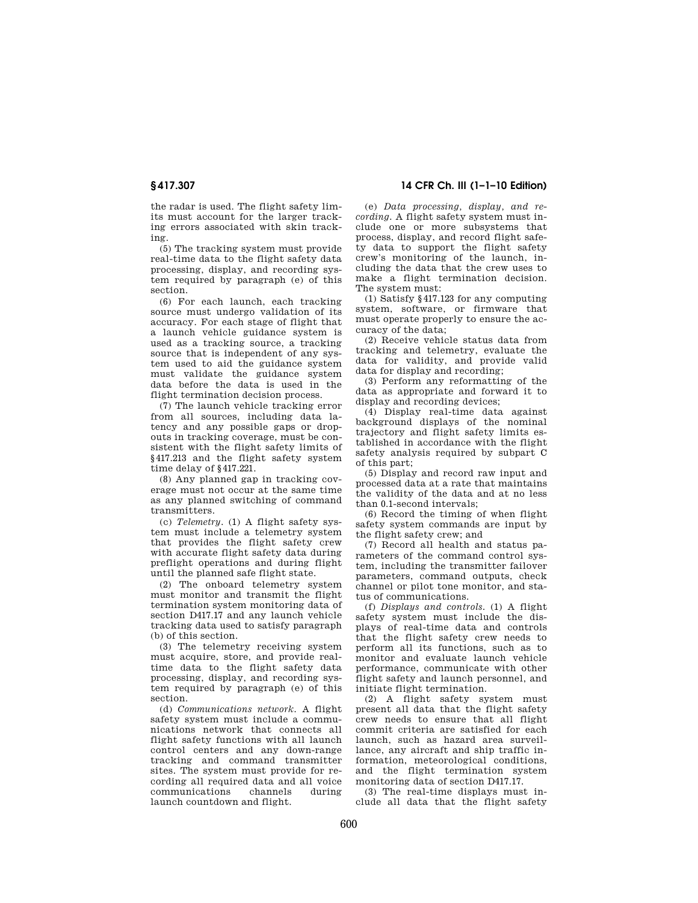the radar is used. The flight safety limits must account for the larger tracking errors associated with skin tracking.

(5) The tracking system must provide real-time data to the flight safety data processing, display, and recording system required by paragraph (e) of this section.

(6) For each launch, each tracking source must undergo validation of its accuracy. For each stage of flight that a launch vehicle guidance system is used as a tracking source, a tracking source that is independent of any system used to aid the guidance system must validate the guidance system data before the data is used in the flight termination decision process.

(7) The launch vehicle tracking error from all sources, including data latency and any possible gaps or dropouts in tracking coverage, must be consistent with the flight safety limits of §417.213 and the flight safety system time delay of §417.221.

(8) Any planned gap in tracking coverage must not occur at the same time as any planned switching of command transmitters.

(c) *Telemetry.* (1) A flight safety system must include a telemetry system that provides the flight safety crew with accurate flight safety data during preflight operations and during flight until the planned safe flight state.

(2) The onboard telemetry system must monitor and transmit the flight termination system monitoring data of section D417.17 and any launch vehicle tracking data used to satisfy paragraph (b) of this section.

(3) The telemetry receiving system must acquire, store, and provide realtime data to the flight safety data processing, display, and recording system required by paragraph (e) of this section.

(d) *Communications network.* A flight safety system must include a communications network that connects all flight safety functions with all launch control centers and any down-range tracking and command transmitter sites. The system must provide for recording all required data and all voice communications channels during launch countdown and flight.

# **§ 417.307 14 CFR Ch. III (1–1–10 Edition)**

(e) *Data processing, display, and recording.* A flight safety system must include one or more subsystems that process, display, and record flight safety data to support the flight safety crew's monitoring of the launch, including the data that the crew uses to make a flight termination decision. The system must:

(1) Satisfy §417.123 for any computing system, software, or firmware that must operate properly to ensure the accuracy of the data;

(2) Receive vehicle status data from tracking and telemetry, evaluate the data for validity, and provide valid data for display and recording;

(3) Perform any reformatting of the data as appropriate and forward it to display and recording devices;

(4) Display real-time data against background displays of the nominal trajectory and flight safety limits established in accordance with the flight safety analysis required by subpart C of this part;

(5) Display and record raw input and processed data at a rate that maintains the validity of the data and at no less than 0.1-second intervals;

(6) Record the timing of when flight safety system commands are input by the flight safety crew; and

(7) Record all health and status parameters of the command control system, including the transmitter failover parameters, command outputs, check channel or pilot tone monitor, and status of communications.

(f) *Displays and controls.* (1) A flight safety system must include the displays of real-time data and controls that the flight safety crew needs to perform all its functions, such as to monitor and evaluate launch vehicle performance, communicate with other flight safety and launch personnel, and initiate flight termination.

(2) A flight safety system must present all data that the flight safety crew needs to ensure that all flight commit criteria are satisfied for each launch, such as hazard area surveillance, any aircraft and ship traffic information, meteorological conditions, and the flight termination system monitoring data of section D417.17.

(3) The real-time displays must include all data that the flight safety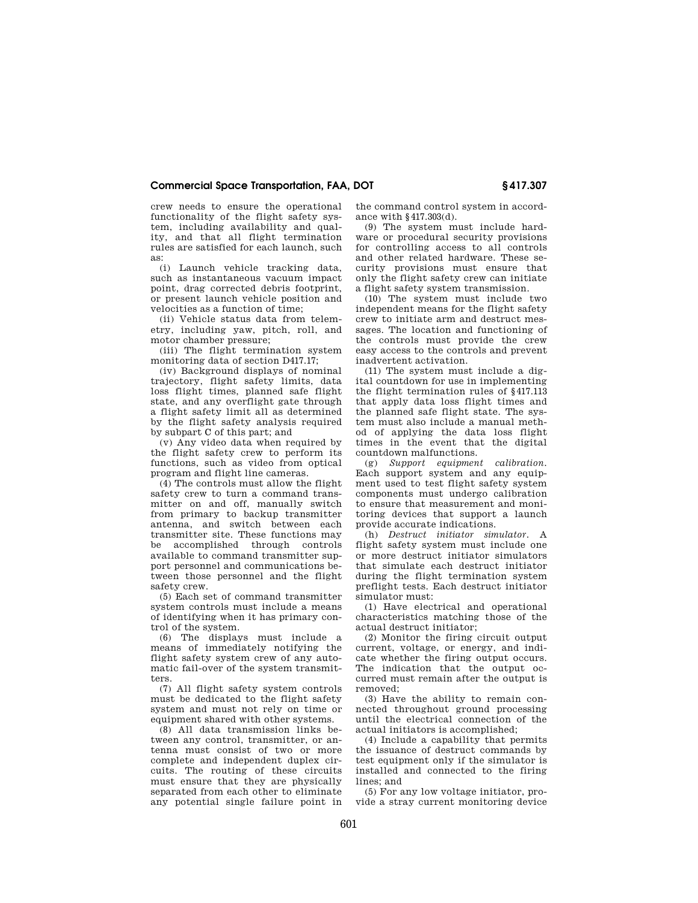## **Commercial Space Transportation, FAA, DOT § 417.307**

crew needs to ensure the operational functionality of the flight safety system, including availability and quality, and that all flight termination rules are satisfied for each launch, such as:

(i) Launch vehicle tracking data, such as instantaneous vacuum impact point, drag corrected debris footprint, or present launch vehicle position and velocities as a function of time;

(ii) Vehicle status data from telemetry, including yaw, pitch, roll, and motor chamber pressure;

(iii) The flight termination system monitoring data of section D417.17;

(iv) Background displays of nominal trajectory, flight safety limits, data loss flight times, planned safe flight state, and any overflight gate through a flight safety limit all as determined by the flight safety analysis required by subpart C of this part; and

(v) Any video data when required by the flight safety crew to perform its functions, such as video from optical program and flight line cameras.

(4) The controls must allow the flight safety crew to turn a command transmitter on and off, manually switch from primary to backup transmitter antenna, and switch between each transmitter site. These functions may be accomplished through controls available to command transmitter support personnel and communications between those personnel and the flight safety crew.

(5) Each set of command transmitter system controls must include a means of identifying when it has primary control of the system.

(6) The displays must include a means of immediately notifying the flight safety system crew of any automatic fail-over of the system transmitters.

(7) All flight safety system controls must be dedicated to the flight safety system and must not rely on time or equipment shared with other systems.

(8) All data transmission links between any control, transmitter, or antenna must consist of two or more complete and independent duplex circuits. The routing of these circuits must ensure that they are physically separated from each other to eliminate any potential single failure point in

the command control system in accordance with §417.303(d).

(9) The system must include hardware or procedural security provisions for controlling access to all controls and other related hardware. These security provisions must ensure that only the flight safety crew can initiate a flight safety system transmission.

(10) The system must include two independent means for the flight safety crew to initiate arm and destruct messages. The location and functioning of the controls must provide the crew easy access to the controls and prevent inadvertent activation.

(11) The system must include a digital countdown for use in implementing the flight termination rules of §417.113 that apply data loss flight times and the planned safe flight state. The system must also include a manual method of applying the data loss flight times in the event that the digital countdown malfunctions.

(g) *Support equipment calibration.*  Each support system and any equipment used to test flight safety system components must undergo calibration to ensure that measurement and monitoring devices that support a launch provide accurate indications.

(h) *Destruct initiator simulator.* A flight safety system must include one or more destruct initiator simulators that simulate each destruct initiator during the flight termination system preflight tests. Each destruct initiator simulator must:

(1) Have electrical and operational characteristics matching those of the actual destruct initiator;

(2) Monitor the firing circuit output current, voltage, or energy, and indicate whether the firing output occurs. The indication that the output occurred must remain after the output is removed;

(3) Have the ability to remain connected throughout ground processing until the electrical connection of the actual initiators is accomplished;

(4) Include a capability that permits the issuance of destruct commands by test equipment only if the simulator is installed and connected to the firing lines; and

(5) For any low voltage initiator, provide a stray current monitoring device